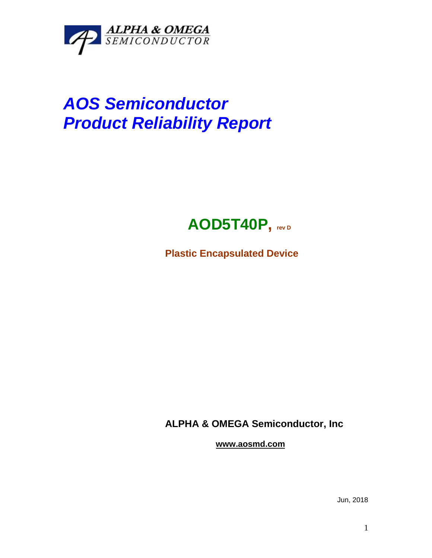

## *AOS Semiconductor Product Reliability Report*



**Plastic Encapsulated Device**

**ALPHA & OMEGA Semiconductor, Inc**

**www.aosmd.com**

Jun, 2018